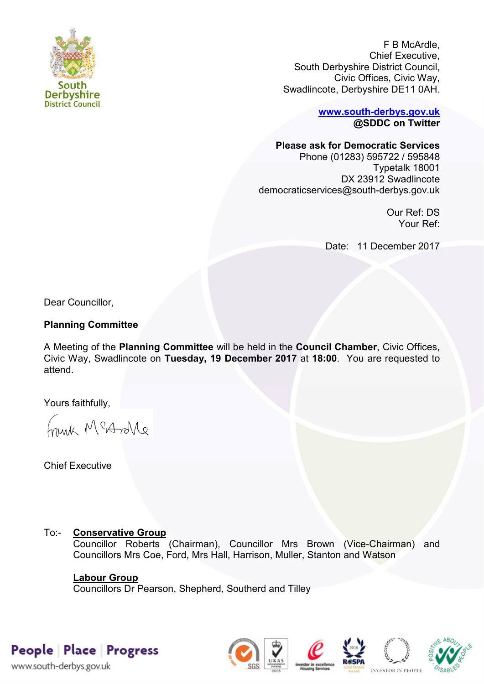

F B McArdle, Chief Executive, South Derbyshire District Council, Civic Offices, Civic Way, Swadlincote, Derbyshire DE11 0AH.

> **[www.south-derbys.gov.uk](http://www.south-derbys.gov.uk/) @SDDC on Twitter**

### **Please ask for Democratic Services**

Phone (01283) 595722 / 595848 Typetalk 18001 DX 23912 Swadlincote democraticservices@south-derbys.gov.uk

> Our Ref: DS Your Ref:

Date: 11 December 2017

Dear Councillor,

### **Planning Committee**

A Meeting of the **Planning Committee** will be held in the **Council Chamber**, Civic Offices, Civic Way, Swadlincote on **Tuesday, 19 December 2017** at **18:00**. You are requested to attend.

Yours faithfully,

brisk McAndre

Chief Executive

# To:- **Conservative Group**

Councillor Roberts (Chairman), Councillor Mrs Brown (Vice-Chairman) and Councillors Mrs Coe, Ford, Mrs Hall, Harrison, Muller, Stanton and Watson

## **Labour Group**

Councillors Dr Pearson, Shepherd, Southerd and Tilley

People Place Progress

www.south-derbys.gov.uk